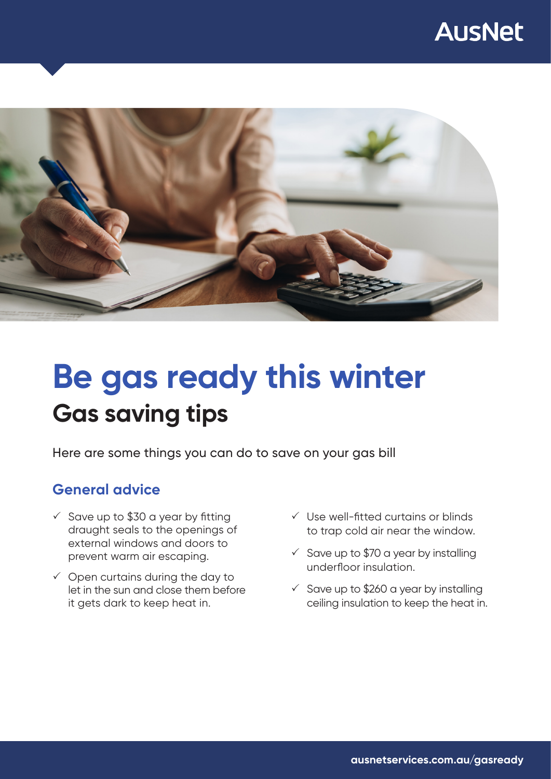## **AusNet**



# **Gas saving tips Be gas ready this winter**

Here are some things you can do to save on your gas bill

### **General advice**

- $\checkmark$  Save up to \$30 a year by fitting draught seals to the openings of external windows and doors to prevent warm air escaping.
- $\checkmark$  Open curtains during the day to let in the sun and close them before it gets dark to keep heat in.
- $\checkmark$  Use well-fitted curtains or blinds to trap cold air near the window.
- $\checkmark$  Save up to \$70 a year by installing underfloor insulation.
- $\checkmark$  Save up to \$260 a year by installing ceiling insulation to keep the heat in.